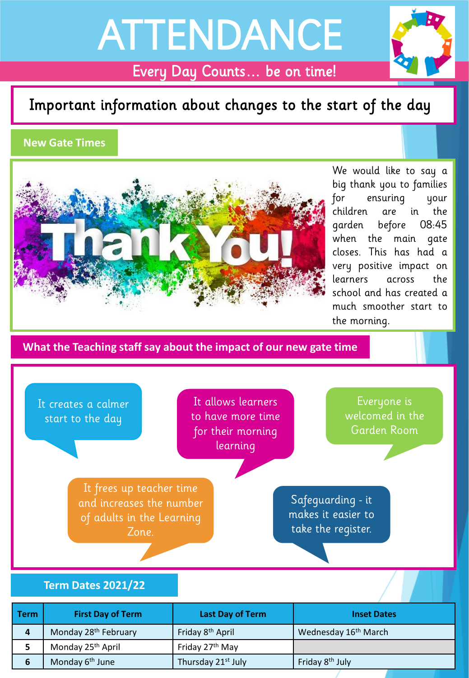# ATTENDANCE



Every Day Counts… be on time!

## Important information about changes to the start of the day

### **New Gate Times**



We would like to say a big thank you to families for ensuring your children are in the garden before 08:45 when the main gate closes. This has had a very positive impact on learners across the school and has created a much smoother start to the morning.

**What the Teaching staff say about the impact of our new gate time**



| Term | <b>First Day of Term</b>         | Last Day of Term             | <b>Inset Dates</b>               |
|------|----------------------------------|------------------------------|----------------------------------|
| 4    | Monday 28 <sup>th</sup> February | Friday 8 <sup>th</sup> April | Wednesday 16 <sup>th</sup> March |
| э    | Monday 25 <sup>th</sup> April    | Friday 27 <sup>th</sup> May  |                                  |
| b    | Monday 6 <sup>th</sup> June      | Thursday 21st July           | Friday 8 <sup>th</sup> July      |